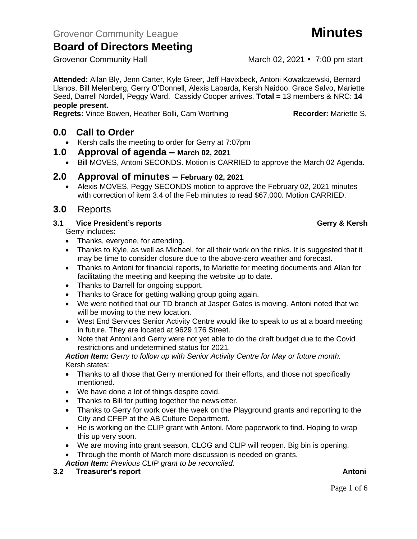**Attended:** Allan Bly, Jenn Carter, Kyle Greer, Jeff Havixbeck, Antoni Kowalczewski, Bernard Llanos, Bill Melenberg, Gerry O'Donnell, Alexis Labarda, Kersh Naidoo, Grace Salvo, Mariette Seed, Darrell Nordell, Peggy Ward. Cassidy Cooper arrives. **Total =** 13 members & NRC: **14 people present.**

**Regrets:** Vince Bowen, Heather Bolli, Cam Worthing **Recorder:** Mariette S.

## **0.0 Call to Order**

• Kersh calls the meeting to order for Gerry at 7:07pm

## **1.0 Approval of agenda – March 02, 2021**

• Bill MOVES, Antoni SECONDS. Motion is CARRIED to approve the March 02 Agenda.

## **2.0 Approval of minutes – February 02, 2021**

• Alexis MOVES, Peggy SECONDS motion to approve the February 02, 2021 minutes with correction of item 3.4 of the Feb minutes to read \$67,000. Motion CARRIED.

## **3.0** Reports

## **3.1 Vice President's reports Gerry & Kersh**

Gerry includes:

- Thanks, everyone, for attending.
- Thanks to Kyle, as well as Michael, for all their work on the rinks. It is suggested that it may be time to consider closure due to the above-zero weather and forecast.
- Thanks to Antoni for financial reports, to Mariette for meeting documents and Allan for facilitating the meeting and keeping the website up to date.
- Thanks to Darrell for ongoing support.
- Thanks to Grace for getting walking group going again.
- We were notified that our TD branch at Jasper Gates is moving. Antoni noted that we will be moving to the new location.
- West End Services Senior Activity Centre would like to speak to us at a board meeting in future. They are located at 9629 176 Street.
- Note that Antoni and Gerry were not yet able to do the draft budget due to the Covid restrictions and undetermined status for 2021.

*Action Item: Gerry to follow up with Senior Activity Centre for May or future month.* Kersh states:

- Thanks to all those that Gerry mentioned for their efforts, and those not specifically mentioned.
- We have done a lot of things despite covid.
- Thanks to Bill for putting together the newsletter.
- Thanks to Gerry for work over the week on the Playground grants and reporting to the City and CFEP at the AB Culture Department.
- He is working on the CLIP grant with Antoni. More paperwork to find. Hoping to wrap this up very soon.
- We are moving into grant season, CLOG and CLIP will reopen. Big bin is opening.
- Through the month of March more discussion is needed on grants. *Action Item: Previous CLIP grant to be reconciled.*

**3.2 Treasurer's report Antonic Service Service Service Service Service Service Service Service Service Service Service Service Service Service Service Service Service Service Service Service Service Service Service Servic** 

Page 1 of 6

Grovenor Community Hall March 02, 2021 • 7:00 pm start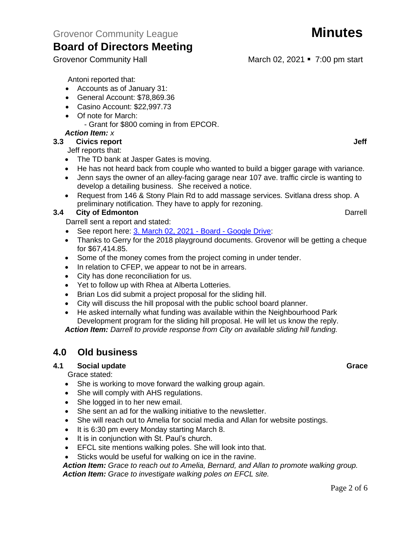Grovenor Community Hall March 02, 2021 • 7:00 pm start

Antoni reported that:

- Accounts as of January 31:
- General Account: \$78,869.36
- Casino Account: \$22,997.73
- Of note for March:
	- Grant for \$800 coming in from EPCOR.

## *Action Item: x*

**3.3 Civics report Jeff** Jeff reports that:

- The TD bank at Jasper Gates is moving.
- He has not heard back from couple who wanted to build a bigger garage with variance.
- Jenn says the owner of an alley-facing garage near 107 ave. traffic circle is wanting to develop a detailing business. She received a notice.
- Request from 146 & Stony Plain Rd to add massage services. Svitlana dress shop. A preliminary notification. They have to apply for rezoning.

## **3.4 City of Edmonton** Darrell

Darrell sent a report and stated:

- See report here: [3. March 02, 2021 -](https://drive.google.com/drive/folders/1hVFdtKDZVz2lhV1I1rAuFATFjpnm7OqR) Board Google Drive:
- Thanks to Gerry for the 2018 playground documents. Grovenor will be getting a cheque for \$67,414.85.
- Some of the money comes from the project coming in under tender.
- In relation to CFEP, we appear to not be in arrears.
- City has done reconciliation for us.
- Yet to follow up with Rhea at Alberta Lotteries.
- Brian Los did submit a project proposal for the sliding hill.
- City will discuss the hill proposal with the public school board planner.
- He asked internally what funding was available within the Neighbourhood Park Development program for the sliding hill proposal. He will let us know the reply.

*Action Item: Darrell to provide response from City on available sliding hill funding.*

## **4.0 Old business**

### **4.1 Social update Grace**

Grace stated:

- She is working to move forward the walking group again.
- She will comply with AHS regulations.
- She logged in to her new email.
- She sent an ad for the walking initiative to the newsletter.
- She will reach out to Amelia for social media and Allan for website postings.
- It is 6:30 pm every Monday starting March 8.
- It is in conjunction with St. Paul's church.
- EFCL site mentions walking poles. She will look into that.
- Sticks would be useful for walking on ice in the ravine.

*Action Item: Grace to reach out to Amelia, Bernard, and Allan to promote walking group. Action Item: Grace to investigate walking poles on EFCL site.* 

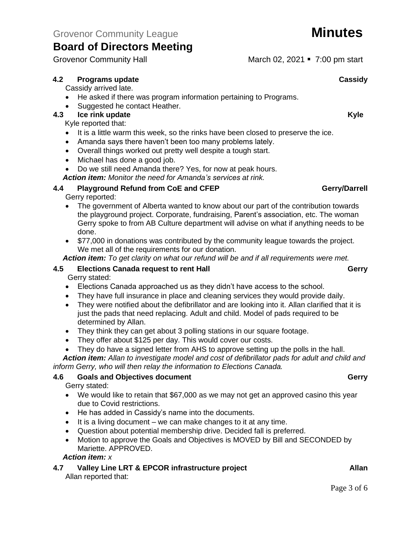## **4.2 Programs update Cassidy Cassidy**

Cassidy arrived late.

- He asked if there was program information pertaining to Programs.
- Suggested he contact Heather.

## **4.3 Ice rink update Kyle**

Kyle reported that:

- It is a little warm this week, so the rinks have been closed to preserve the ice.
- Amanda says there haven't been too many problems lately.
- Overall things worked out pretty well despite a tough start.
- Michael has done a good job.
- Do we still need Amanda there? Yes, for now at peak hours.
- *Action item: Monitor the need for Amanda's services at rink.*

## **4.4 Playground Refund from CoE and CFEP Gerry/Darrell**

Gerry reported:

- The government of Alberta wanted to know about our part of the contribution towards the playground project. Corporate, fundraising, Parent's association, etc. The woman Gerry spoke to from AB Culture department will advise on what if anything needs to be done.
- \$77,000 in donations was contributed by the community league towards the project. We met all of the requirements for our donation.

*Action item: To get clarity on what our refund will be and if all requirements were met.*

## **4.5 Elections Canada request to rent Hall Gerry**

Gerry stated:

- Elections Canada approached us as they didn't have access to the school.
- They have full insurance in place and cleaning services they would provide daily.
- They were notified about the defibrillator and are looking into it. Allan clarified that it is just the pads that need replacing. Adult and child. Model of pads required to be determined by Allan.
- They think they can get about 3 polling stations in our square footage.
- They offer about \$125 per day. This would cover our costs.
- They do have a signed letter from AHS to approve setting up the polls in the hall.

Action item: Allan to investigate model and cost of defibrillator pads for adult and child and *inform Gerry, who will then relay the information to Elections Canada.*

### **4.6 Goals and Objectives document Gerry**

Gerry stated:

- We would like to retain that \$67,000 as we may not get an approved casino this year due to Covid restrictions.
- He has added in Cassidy's name into the documents.
- It is a living document we can make changes to it at any time.
- Question about potential membership drive. Decided fall is preferred.
- Motion to approve the Goals and Objectives is MOVED by Bill and SECONDED by Mariette. APPROVED.

### *Action item: x*

**4.7 Valley Line LRT & EPCOR infrastructure project Allan**

Allan reported that:

Page 3 of 6

Grovenor Community Hall March 02, 2021 • 7:00 pm start

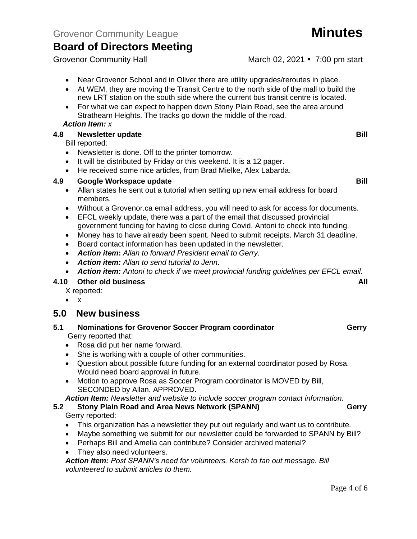Grovenor Community Hall March 02, 2021 • 7:00 pm start

- Near Grovenor School and in Oliver there are utility upgrades/reroutes in place.
- At WEM, they are moving the Transit Centre to the north side of the mall to build the new LRT station on the south side where the current bus transit centre is located.
- For what we can expect to happen down Stony Plain Road, see the area around Strathearn Heights. The tracks go down the middle of the road.

### *Action Item: x*

### **4.8 Newsletter update Bill**

#### Bill reported:

- Newsletter is done. Off to the printer tomorrow.
- It will be distributed by Friday or this weekend. It is a 12 pager.
- He received some nice articles, from Brad Mielke, Alex Labarda.

## **4.9 Google Workspace update Bill**

- Allan states he sent out a tutorial when setting up new email address for board members.
- Without a Grovenor.ca email address, you will need to ask for access for documents.
- EFCL weekly update, there was a part of the email that discussed provincial government funding for having to close during Covid. Antoni to check into funding.
- Money has to have already been spent. Need to submit receipts. March 31 deadline.
- Board contact information has been updated in the newsletter.
- *Action item***:** *Allan to forward President email to Gerry.*
- *Action item: Allan to send tutorial to Jenn*.
- *Action item: Antoni to check if we meet provincial funding guidelines per EFCL email.*

## **4.10 Other old business All**

- X reported:
- x

## **5.0 New business**

- **5.1 Nominations for Grovenor Soccer Program coordinator Gerry** Gerry reported that:
	- Rosa did put her name forward.
	- She is working with a couple of other communities.
	- Question about possible future funding for an external coordinator posed by Rosa. Would need board approval in future.
	- Motion to approve Rosa as Soccer Program coordinator is MOVED by Bill, SECONDED by Allan. APPROVED.

*Action Item: Newsletter and website to include soccer program contact information.*

- **5.2 Stony Plain Road and Area News Network (SPANN) Gerry** Gerry reported:
	- This organization has a newsletter they put out regularly and want us to contribute.
	- Maybe something we submit for our newsletter could be forwarded to SPANN by Bill?
	- Perhaps Bill and Amelia can contribute? Consider archived material?
	- They also need volunteers.

*Action Item: Post SPANN's need for volunteers. Kersh to fan out message. Bill volunteered to submit articles to them.*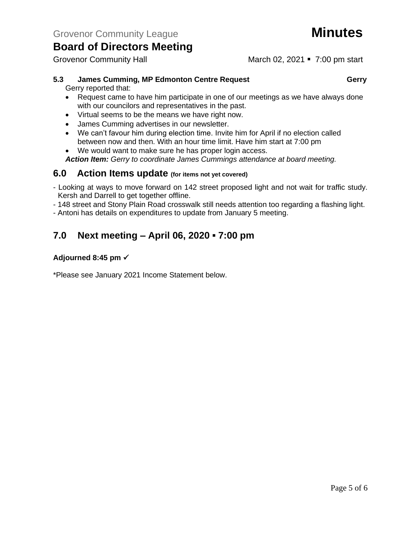## Page 5 of 6

Grovenor Community Hall March 02, 2021 • 7:00 pm start

## **5.3 James Cumming, MP Edmonton Centre Request Gerry**

Gerry reported that:

- Request came to have him participate in one of our meetings as we have always done with our councilors and representatives in the past.
- Virtual seems to be the means we have right now.
- James Cumming advertises in our newsletter.
- We can't favour him during election time. Invite him for April if no election called between now and then. With an hour time limit. Have him start at 7:00 pm
- We would want to make sure he has proper login access.

*Action Item: Gerry to coordinate James Cummings attendance at board meeting.*

## **6.0 Action Items update (for items not yet covered)**

- Looking at ways to move forward on 142 street proposed light and not wait for traffic study. Kersh and Darrell to get together offline.
- 148 street and Stony Plain Road crosswalk still needs attention too regarding a flashing light.
- Antoni has details on expenditures to update from January 5 meeting.

## **7.0 Next meeting – April 06, 2020 ▪ 7:00 pm**

## **Adjourned 8:45 pm** ✓

\*Please see January 2021 Income Statement below.